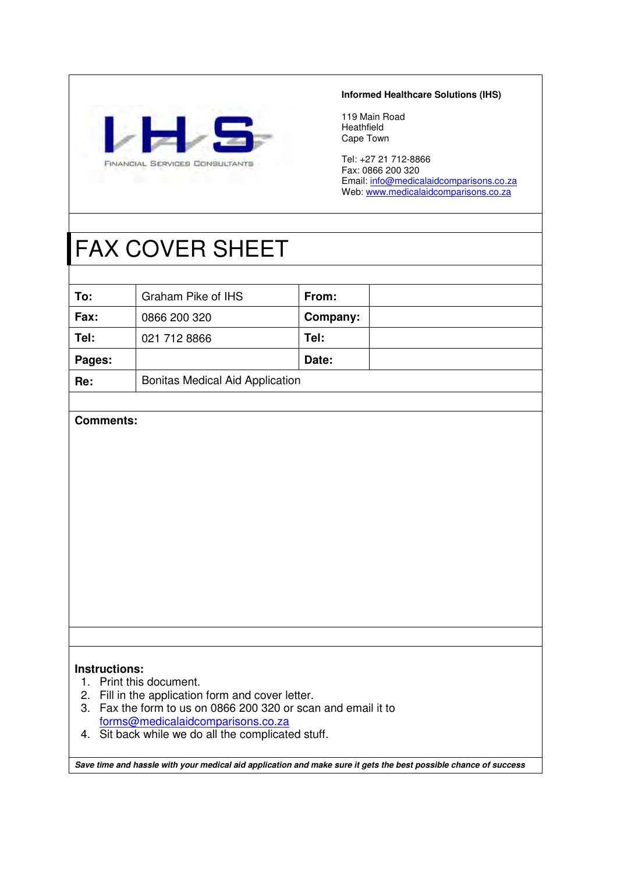

### **Informed Healthcare Solutions (IHS)**

119 Main Road Heathfield Cape Town

Tel: +27 21 712-8866 Fax: 0866 200 320 Email: info@medicalaidcomparisons.co.za Web: www.medicalaidcomparisons.co.za

# FAX COVER SHEET

| To:    | Graham Pike of IHS                     | From:    |  |
|--------|----------------------------------------|----------|--|
| Fax:   | 0866 200 320                           | Company: |  |
| Tel:   | 021 712 8866                           | Tel:     |  |
| Pages: |                                        | Date:    |  |
| Re:    | <b>Bonitas Medical Aid Application</b> |          |  |

### **Comments:**

### **Instructions:**

- 1. Print this document.
- 2. Fill in the application form and cover letter.
- 3. Fax the form to us on 0866 200 320 or scan and email it to forms@medicalaidcomparisons.co.za
- 4. Sit back while we do all the complicated stuff.

**Save time and hassle with your medical aid application and make sure it gets the best possible chance of success**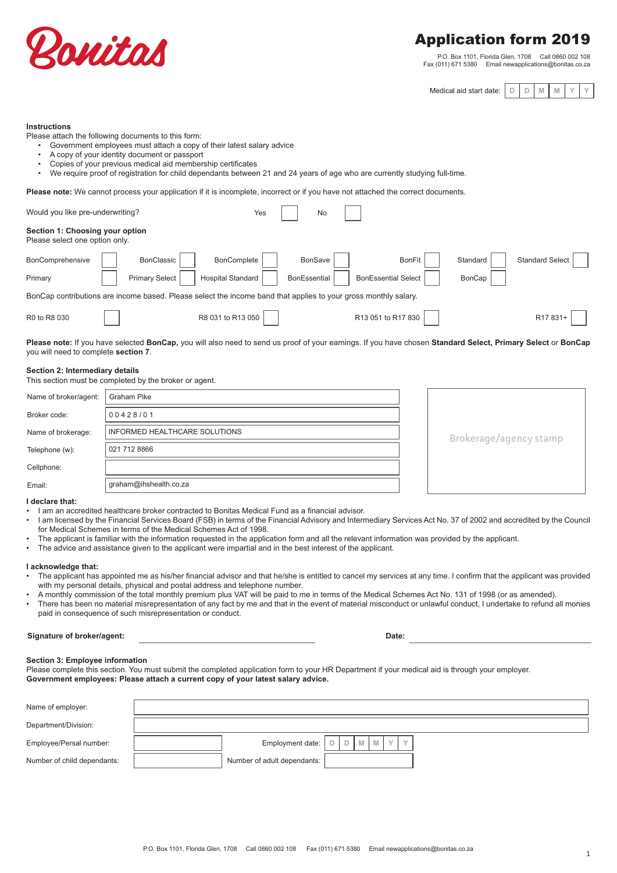

## Application form 2019

P.O. Box 1101, Florida Glen, 1708 Call 0860 002 108 Fax (011) 671 5380 Email newapplications@bonitas.co.za

 $M$  **Medical aid start date:** 

|--|--|

#### **Instructions**

Please attach the following documents to this form:

- Government employees must attach a copy of their latest salary advice
- A copy of your identity document or passport
- Copies of your previous medical aid membership certificates
- We require proof of registration for child dependants between 21 and 24 years of age who are currently studying full-time.

Please note: We cannot process your application if it is incomplete, incorrect or if you have not attached the correct documents.

| Would you like pre-underwriting?                                  |                                                                                                                 | Yes                      | <b>No</b>    |                            |          |                        |
|-------------------------------------------------------------------|-----------------------------------------------------------------------------------------------------------------|--------------------------|--------------|----------------------------|----------|------------------------|
| Section 1: Choosing your option<br>Please select one option only. |                                                                                                                 |                          |              |                            |          |                        |
| BonComprehensive                                                  | <b>BonClassic</b>                                                                                               | <b>BonComplete</b>       | BonSave      | <b>BonFit</b>              | Standard | <b>Standard Select</b> |
| Primary                                                           | <b>Primary Select</b>                                                                                           | <b>Hospital Standard</b> | BonEssential | <b>BonEssential Select</b> | BonCap   |                        |
|                                                                   | BonCap contributions are income based. Please select the income band that applies to your gross monthly salary. |                          |              |                            |          |                        |
| R0 to R8 030                                                      |                                                                                                                 | R8 031 to R13 050        |              | R13 051 to R17 830         |          | R <sub>17</sub> 831-   |

**Please note:** If you have selected **BonCap,** you will also need to send us proof of your earnings. If you have chosen **Standard Select, Primary Select** or **BonCap**  you will need to complete **section 7**.

#### **Section 2: Intermediary details**

| This section must be completed by the broker or agent. |  |
|--------------------------------------------------------|--|
|--------------------------------------------------------|--|

| Name of broker/agent: | Graham Pike                   |                        |  |  |  |
|-----------------------|-------------------------------|------------------------|--|--|--|
| Broker code:          | 00428/01                      |                        |  |  |  |
| Name of brokerage:    | INFORMED HEALTHCARE SOLUTIONS | Brokerage/agency stamp |  |  |  |
| Telephone (w):        | 021 712 8866                  |                        |  |  |  |
| Cellphone:            |                               |                        |  |  |  |
| Email:                | graham@ihshealth.co.za        |                        |  |  |  |

#### **I declare that:**

- I am an accredited healthcare broker contracted to Bonitas Medical Fund as a financial advisor.
- I am licensed by the Financial Services Board (FSB) in terms of the Financial Advisory and Intermediary Services Act No. 37 of 2002 and accredited by the Council for Medical Schemes in terms of the Medical Schemes Act of 1998.
- The applicant is familiar with the information requested in the application form and all the relevant information was provided by the applicant.
- The advice and assistance given to the applicant were impartial and in the best interest of the applicant.

#### **I acknowledge that:**

- The applicant has appointed me as his/her financial advisor and that he/she is entitled to cancel my services at any time. I confirm that the applicant was provided with my personal details, physical and postal address and telephone number.
- A monthly commission of the total monthly premium plus VAT will be paid to me in terms of the Medical Schemes Act No. 131 of 1998 (or as amended).
- There has been no material misrepresentation of any fact by me and that in the event of material misconduct or unlawful conduct, I undertake to refund all monies paid in consequence of such misrepresentation or conduct.

#### **Signature of broker/agent: Date:**

#### **Section 3: Employee information**

Please complete this section. You must submit the completed application form to your HR Department if your medical aid is through your employer. **Government employees: Please attach a current copy of your latest salary advice.** 

| Name of employer:           |                                                                                          |  |
|-----------------------------|------------------------------------------------------------------------------------------|--|
| Department/Division:        |                                                                                          |  |
| Employee/Persal number:     | Employment date: $\boxed{D}$ $\boxed{D}$ $\boxed{M}$ $\boxed{N}$ $\boxed{Y}$ $\boxed{Y}$ |  |
| Number of child dependants: | Number of adult dependants:                                                              |  |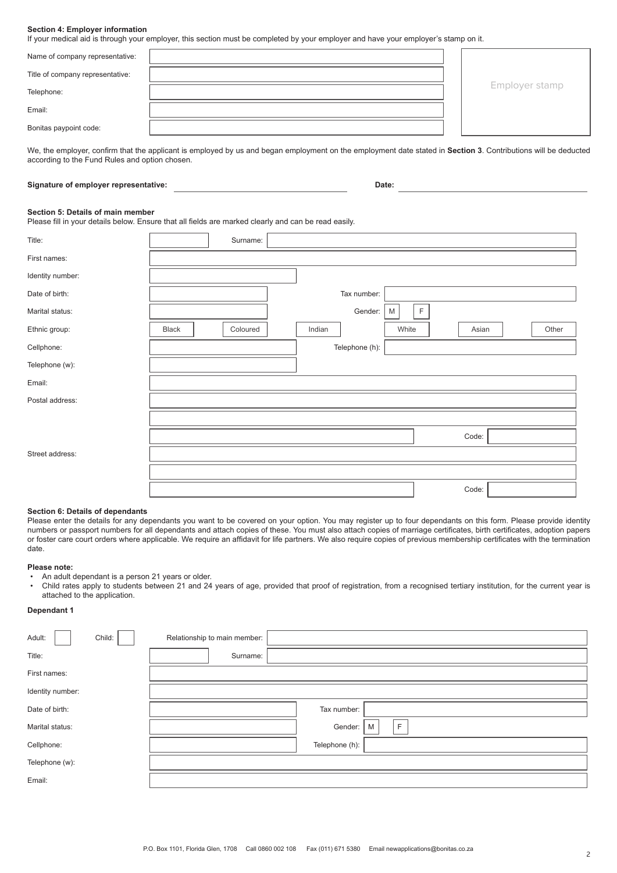#### **Section 4: Employer information**

If your medical aid is through your employer, this section must be completed by your employer and have your employer's stamp on it.

| Name of company representative:  |  |                |
|----------------------------------|--|----------------|
| Title of company representative: |  |                |
| Telephone:                       |  | Employer stamp |
| Email:                           |  |                |
| Bonitas paypoint code:           |  |                |

We, the employer, confirm that the applicant is employed by us and began employment on the employment date stated in **Section 3**. Contributions will be deducted according to the Fund Rules and option chosen.

#### **Signature of employer representative: Date:**

#### **Section 5: Details of main member**

Please fill in your details below. Ensure that all fields are marked clearly and can be read easily.

| Title:           |              | Surname: |        |                |                  |       |       |
|------------------|--------------|----------|--------|----------------|------------------|-------|-------|
| First names:     |              |          |        |                |                  |       |       |
| Identity number: |              |          |        |                |                  |       |       |
| Date of birth:   |              |          |        | Tax number:    |                  |       |       |
| Marital status:  |              |          |        | Gender:        | $\mathsf F$<br>M |       |       |
| Ethnic group:    | <b>Black</b> | Coloured | Indian |                | White            | Asian | Other |
| Cellphone:       |              |          |        | Telephone (h): |                  |       |       |
| Telephone (w):   |              |          |        |                |                  |       |       |
| Email:           |              |          |        |                |                  |       |       |
| Postal address:  |              |          |        |                |                  |       |       |
|                  |              |          |        |                |                  |       |       |
|                  |              |          |        |                |                  | Code: |       |
| Street address:  |              |          |        |                |                  |       |       |
|                  |              |          |        |                |                  |       |       |
|                  |              |          |        |                |                  | Code: |       |

#### **Section 6: Details of dependants**

Please enter the details for any dependants you want to be covered on your option. You may register up to four dependants on this form. Please provide identity numbers or passport numbers for all dependants and attach copies of these. You must also attach copies of marriage certificates, birth certificates, adoption papers or foster care court orders where applicable. We require an affidavit for life partners. We also require copies of previous membership certificates with the termination date.

#### **Please note:**

• An adult dependant is a person 21 years or older.

• Child rates apply to students between 21 and 24 years of age, provided that proof of registration, from a recognised tertiary institution, for the current year is attached to the application.

#### **Dependant 1**

| Adult:<br>Child: | Relationship to main member: |                   |
|------------------|------------------------------|-------------------|
| Title:           | Surname:                     |                   |
| First names:     |                              |                   |
| Identity number: |                              |                   |
| Date of birth:   |                              | Tax number:       |
| Marital status:  |                              | F<br>Gender:<br>M |
| Cellphone:       |                              | Telephone (h):    |
| Telephone (w):   |                              |                   |
| Email:           |                              |                   |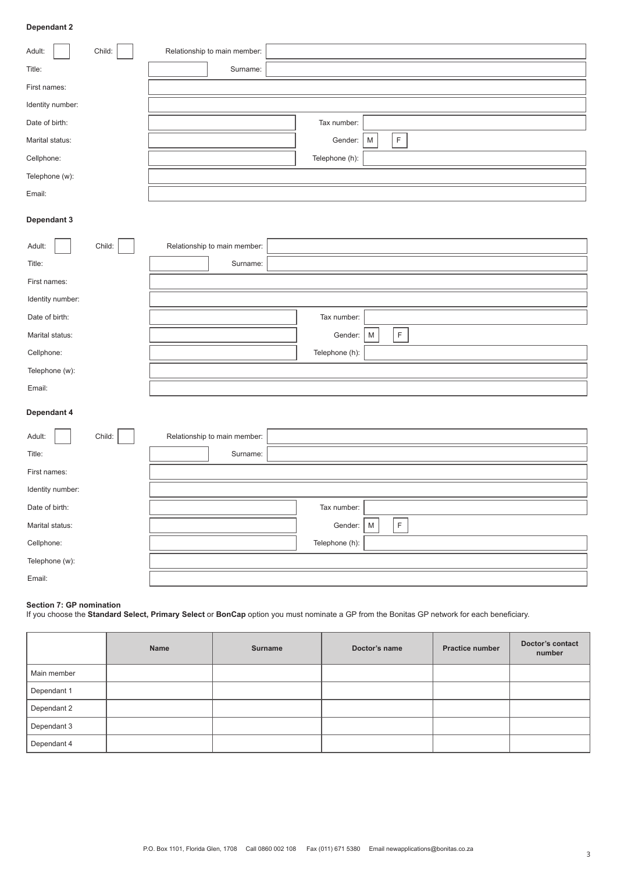#### **Dependant 2**

| Child:<br>Adult: | Relationship to main member: |                |                          |
|------------------|------------------------------|----------------|--------------------------|
| Title:           | Surname:                     |                |                          |
| First names:     |                              |                |                          |
| Identity number: |                              |                |                          |
| Date of birth:   |                              | Tax number:    |                          |
| Marital status:  |                              | Gender:        | $\mathsf F$<br>${\sf M}$ |
| Cellphone:       |                              | Telephone (h): |                          |
| Telephone (w):   |                              |                |                          |
| Email:           |                              |                |                          |
| Dependant 3      |                              |                |                          |
| Child:<br>Adult: | Relationship to main member: |                |                          |
| Title:           | Surname:                     |                |                          |
| First names:     |                              |                |                          |
| Identity number: |                              |                |                          |
| Date of birth:   |                              | Tax number:    |                          |
| Marital status:  |                              | Gender:        | $\mathsf F$<br>M         |
| Cellphone:       |                              | Telephone (h): |                          |
| Telephone (w):   |                              |                |                          |
| Email:           |                              |                |                          |
| Dependant 4      |                              |                |                          |
| Child:<br>Adult: | Relationship to main member: |                |                          |
| Title:           | Surname:                     |                |                          |
| First names:     |                              |                |                          |
| Identity number: |                              |                |                          |
| Date of birth:   |                              | Tax number:    | п                        |
| Marital status:  |                              | Gender:        | $\mathsf F$<br>${\sf M}$ |
| Cellphone:       |                              | Telephone (h): |                          |
| Telephone (w):   |                              |                |                          |
| Email:           |                              |                |                          |

#### **Section 7: GP nomination**

If you choose the **Standard Select, Primary Select** or **BonCap** option you must nominate a GP from the Bonitas GP network for each beneficiary.

|             | <b>Name</b> | <b>Surname</b> | Doctor's name | <b>Practice number</b> | Doctor's contact<br>number |
|-------------|-------------|----------------|---------------|------------------------|----------------------------|
| Main member |             |                |               |                        |                            |
| Dependant 1 |             |                |               |                        |                            |
| Dependant 2 |             |                |               |                        |                            |
| Dependant 3 |             |                |               |                        |                            |
| Dependant 4 |             |                |               |                        |                            |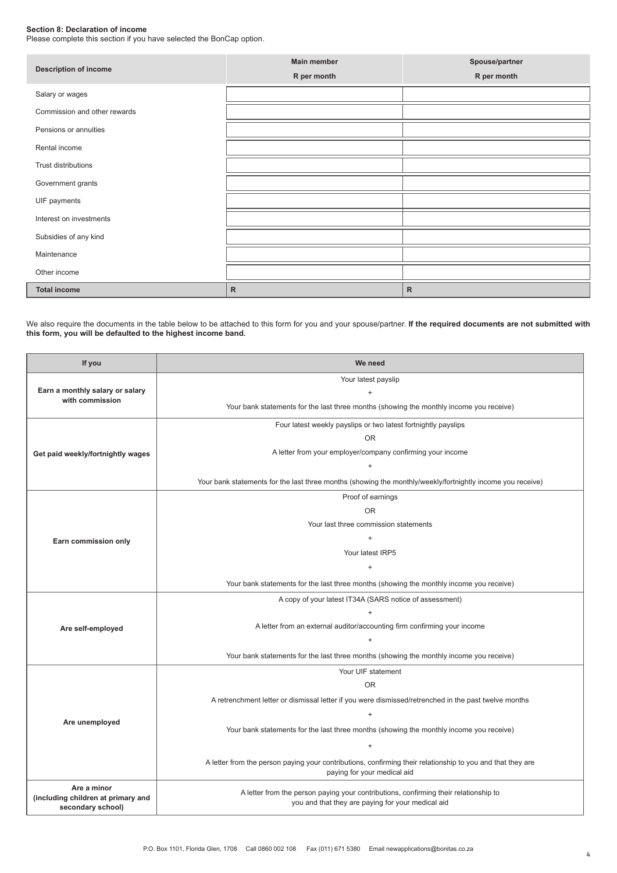#### **Section 8: Declaration of income**

Please complete this section if you have selected the BonCap option.

| <b>Description of income</b> | <b>Main member</b><br>R per month | Spouse/partner<br>R per month |
|------------------------------|-----------------------------------|-------------------------------|
| Salary or wages              |                                   |                               |
| Commission and other rewards |                                   |                               |
| Pensions or annuities        |                                   |                               |
| Rental income                |                                   |                               |
| Trust distributions          |                                   |                               |
| Government grants            |                                   |                               |
| UIF payments                 |                                   |                               |
| Interest on investments      |                                   |                               |
| Subsidies of any kind        |                                   |                               |
| Maintenance                  |                                   |                               |
| Other income                 |                                   |                               |
| <b>Total income</b>          | $\mathsf{R}$                      | $\mathsf{R}$                  |

We also require the documents in the table below to be attached to this form for you and your spouse/partner. **If the required documents are not submitted with this form, you will be defaulted to the highest income band.**

| Your latest payslip<br>Earn a monthly salary or salary<br>$+$<br>with commission<br>Your bank statements for the last three months (showing the monthly income you receive)<br>Four latest weekly payslips or two latest fortnightly payslips<br><b>OR</b><br>A letter from your employer/company confirming your income<br>Get paid weekly/fortnightly wages<br>$\begin{array}{c} + \end{array}$<br>Your bank statements for the last three months (showing the monthly/weekly/fortnightly income you receive)<br>Proof of earnings<br><b>OR</b><br>Your last three commission statements<br>$+$<br>Earn commission only<br>Your latest IRP5<br>$\begin{array}{c} + \end{array}$<br>Your bank statements for the last three months (showing the monthly income you receive)<br>A copy of your latest IT34A (SARS notice of assessment)<br>$\ddot{}$<br>A letter from an external auditor/accounting firm confirming your income<br>Are self-employed<br>$\begin{array}{c} + \end{array}$<br>Your bank statements for the last three months (showing the monthly income you receive)<br>Your UIF statement<br><b>OR</b><br>A retrenchment letter or dismissal letter if you were dismissed/retrenched in the past twelve months<br>$\ddot{}$<br>Are unemployed<br>Your bank statements for the last three months (showing the monthly income you receive)<br>$+$<br>A letter from the person paying your contributions, confirming their relationship to you and that they are<br>paying for your medical aid<br>Are a minor<br>A letter from the person paying your contributions, confirming their relationship to<br>(including children at primary and | If you            | We need                                           |  |  |  |  |  |
|------------------------------------------------------------------------------------------------------------------------------------------------------------------------------------------------------------------------------------------------------------------------------------------------------------------------------------------------------------------------------------------------------------------------------------------------------------------------------------------------------------------------------------------------------------------------------------------------------------------------------------------------------------------------------------------------------------------------------------------------------------------------------------------------------------------------------------------------------------------------------------------------------------------------------------------------------------------------------------------------------------------------------------------------------------------------------------------------------------------------------------------------------------------------------------------------------------------------------------------------------------------------------------------------------------------------------------------------------------------------------------------------------------------------------------------------------------------------------------------------------------------------------------------------------------------------------------------------------------------------------------------------------------|-------------------|---------------------------------------------------|--|--|--|--|--|
|                                                                                                                                                                                                                                                                                                                                                                                                                                                                                                                                                                                                                                                                                                                                                                                                                                                                                                                                                                                                                                                                                                                                                                                                                                                                                                                                                                                                                                                                                                                                                                                                                                                            |                   |                                                   |  |  |  |  |  |
|                                                                                                                                                                                                                                                                                                                                                                                                                                                                                                                                                                                                                                                                                                                                                                                                                                                                                                                                                                                                                                                                                                                                                                                                                                                                                                                                                                                                                                                                                                                                                                                                                                                            |                   |                                                   |  |  |  |  |  |
|                                                                                                                                                                                                                                                                                                                                                                                                                                                                                                                                                                                                                                                                                                                                                                                                                                                                                                                                                                                                                                                                                                                                                                                                                                                                                                                                                                                                                                                                                                                                                                                                                                                            |                   |                                                   |  |  |  |  |  |
|                                                                                                                                                                                                                                                                                                                                                                                                                                                                                                                                                                                                                                                                                                                                                                                                                                                                                                                                                                                                                                                                                                                                                                                                                                                                                                                                                                                                                                                                                                                                                                                                                                                            |                   |                                                   |  |  |  |  |  |
|                                                                                                                                                                                                                                                                                                                                                                                                                                                                                                                                                                                                                                                                                                                                                                                                                                                                                                                                                                                                                                                                                                                                                                                                                                                                                                                                                                                                                                                                                                                                                                                                                                                            |                   |                                                   |  |  |  |  |  |
|                                                                                                                                                                                                                                                                                                                                                                                                                                                                                                                                                                                                                                                                                                                                                                                                                                                                                                                                                                                                                                                                                                                                                                                                                                                                                                                                                                                                                                                                                                                                                                                                                                                            |                   |                                                   |  |  |  |  |  |
|                                                                                                                                                                                                                                                                                                                                                                                                                                                                                                                                                                                                                                                                                                                                                                                                                                                                                                                                                                                                                                                                                                                                                                                                                                                                                                                                                                                                                                                                                                                                                                                                                                                            |                   |                                                   |  |  |  |  |  |
|                                                                                                                                                                                                                                                                                                                                                                                                                                                                                                                                                                                                                                                                                                                                                                                                                                                                                                                                                                                                                                                                                                                                                                                                                                                                                                                                                                                                                                                                                                                                                                                                                                                            |                   |                                                   |  |  |  |  |  |
|                                                                                                                                                                                                                                                                                                                                                                                                                                                                                                                                                                                                                                                                                                                                                                                                                                                                                                                                                                                                                                                                                                                                                                                                                                                                                                                                                                                                                                                                                                                                                                                                                                                            |                   |                                                   |  |  |  |  |  |
|                                                                                                                                                                                                                                                                                                                                                                                                                                                                                                                                                                                                                                                                                                                                                                                                                                                                                                                                                                                                                                                                                                                                                                                                                                                                                                                                                                                                                                                                                                                                                                                                                                                            |                   |                                                   |  |  |  |  |  |
|                                                                                                                                                                                                                                                                                                                                                                                                                                                                                                                                                                                                                                                                                                                                                                                                                                                                                                                                                                                                                                                                                                                                                                                                                                                                                                                                                                                                                                                                                                                                                                                                                                                            |                   |                                                   |  |  |  |  |  |
|                                                                                                                                                                                                                                                                                                                                                                                                                                                                                                                                                                                                                                                                                                                                                                                                                                                                                                                                                                                                                                                                                                                                                                                                                                                                                                                                                                                                                                                                                                                                                                                                                                                            |                   |                                                   |  |  |  |  |  |
|                                                                                                                                                                                                                                                                                                                                                                                                                                                                                                                                                                                                                                                                                                                                                                                                                                                                                                                                                                                                                                                                                                                                                                                                                                                                                                                                                                                                                                                                                                                                                                                                                                                            |                   |                                                   |  |  |  |  |  |
|                                                                                                                                                                                                                                                                                                                                                                                                                                                                                                                                                                                                                                                                                                                                                                                                                                                                                                                                                                                                                                                                                                                                                                                                                                                                                                                                                                                                                                                                                                                                                                                                                                                            |                   |                                                   |  |  |  |  |  |
|                                                                                                                                                                                                                                                                                                                                                                                                                                                                                                                                                                                                                                                                                                                                                                                                                                                                                                                                                                                                                                                                                                                                                                                                                                                                                                                                                                                                                                                                                                                                                                                                                                                            |                   |                                                   |  |  |  |  |  |
|                                                                                                                                                                                                                                                                                                                                                                                                                                                                                                                                                                                                                                                                                                                                                                                                                                                                                                                                                                                                                                                                                                                                                                                                                                                                                                                                                                                                                                                                                                                                                                                                                                                            |                   |                                                   |  |  |  |  |  |
|                                                                                                                                                                                                                                                                                                                                                                                                                                                                                                                                                                                                                                                                                                                                                                                                                                                                                                                                                                                                                                                                                                                                                                                                                                                                                                                                                                                                                                                                                                                                                                                                                                                            |                   |                                                   |  |  |  |  |  |
|                                                                                                                                                                                                                                                                                                                                                                                                                                                                                                                                                                                                                                                                                                                                                                                                                                                                                                                                                                                                                                                                                                                                                                                                                                                                                                                                                                                                                                                                                                                                                                                                                                                            |                   |                                                   |  |  |  |  |  |
|                                                                                                                                                                                                                                                                                                                                                                                                                                                                                                                                                                                                                                                                                                                                                                                                                                                                                                                                                                                                                                                                                                                                                                                                                                                                                                                                                                                                                                                                                                                                                                                                                                                            |                   |                                                   |  |  |  |  |  |
|                                                                                                                                                                                                                                                                                                                                                                                                                                                                                                                                                                                                                                                                                                                                                                                                                                                                                                                                                                                                                                                                                                                                                                                                                                                                                                                                                                                                                                                                                                                                                                                                                                                            |                   |                                                   |  |  |  |  |  |
|                                                                                                                                                                                                                                                                                                                                                                                                                                                                                                                                                                                                                                                                                                                                                                                                                                                                                                                                                                                                                                                                                                                                                                                                                                                                                                                                                                                                                                                                                                                                                                                                                                                            |                   |                                                   |  |  |  |  |  |
|                                                                                                                                                                                                                                                                                                                                                                                                                                                                                                                                                                                                                                                                                                                                                                                                                                                                                                                                                                                                                                                                                                                                                                                                                                                                                                                                                                                                                                                                                                                                                                                                                                                            |                   |                                                   |  |  |  |  |  |
|                                                                                                                                                                                                                                                                                                                                                                                                                                                                                                                                                                                                                                                                                                                                                                                                                                                                                                                                                                                                                                                                                                                                                                                                                                                                                                                                                                                                                                                                                                                                                                                                                                                            |                   |                                                   |  |  |  |  |  |
|                                                                                                                                                                                                                                                                                                                                                                                                                                                                                                                                                                                                                                                                                                                                                                                                                                                                                                                                                                                                                                                                                                                                                                                                                                                                                                                                                                                                                                                                                                                                                                                                                                                            |                   |                                                   |  |  |  |  |  |
|                                                                                                                                                                                                                                                                                                                                                                                                                                                                                                                                                                                                                                                                                                                                                                                                                                                                                                                                                                                                                                                                                                                                                                                                                                                                                                                                                                                                                                                                                                                                                                                                                                                            |                   |                                                   |  |  |  |  |  |
|                                                                                                                                                                                                                                                                                                                                                                                                                                                                                                                                                                                                                                                                                                                                                                                                                                                                                                                                                                                                                                                                                                                                                                                                                                                                                                                                                                                                                                                                                                                                                                                                                                                            |                   |                                                   |  |  |  |  |  |
|                                                                                                                                                                                                                                                                                                                                                                                                                                                                                                                                                                                                                                                                                                                                                                                                                                                                                                                                                                                                                                                                                                                                                                                                                                                                                                                                                                                                                                                                                                                                                                                                                                                            |                   |                                                   |  |  |  |  |  |
|                                                                                                                                                                                                                                                                                                                                                                                                                                                                                                                                                                                                                                                                                                                                                                                                                                                                                                                                                                                                                                                                                                                                                                                                                                                                                                                                                                                                                                                                                                                                                                                                                                                            |                   |                                                   |  |  |  |  |  |
|                                                                                                                                                                                                                                                                                                                                                                                                                                                                                                                                                                                                                                                                                                                                                                                                                                                                                                                                                                                                                                                                                                                                                                                                                                                                                                                                                                                                                                                                                                                                                                                                                                                            |                   |                                                   |  |  |  |  |  |
|                                                                                                                                                                                                                                                                                                                                                                                                                                                                                                                                                                                                                                                                                                                                                                                                                                                                                                                                                                                                                                                                                                                                                                                                                                                                                                                                                                                                                                                                                                                                                                                                                                                            | secondary school) | you and that they are paying for your medical aid |  |  |  |  |  |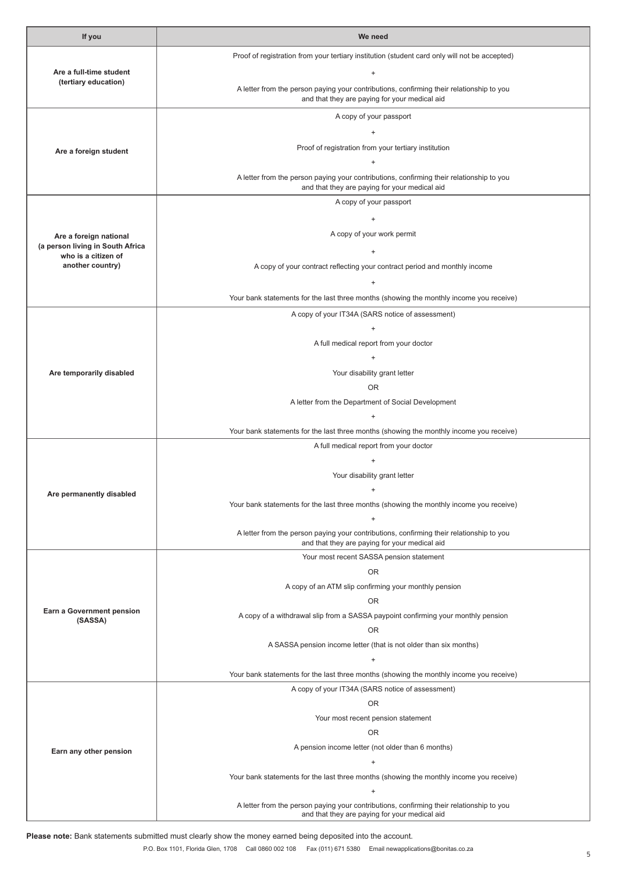| If you                                                  | We need                                                                                                                                   |  |  |  |  |  |
|---------------------------------------------------------|-------------------------------------------------------------------------------------------------------------------------------------------|--|--|--|--|--|
|                                                         | Proof of registration from your tertiary institution (student card only will not be accepted)                                             |  |  |  |  |  |
| Are a full-time student                                 | $\ddot{}$                                                                                                                                 |  |  |  |  |  |
| (tertiary education)                                    | A letter from the person paying your contributions, confirming their relationship to you<br>and that they are paying for your medical aid |  |  |  |  |  |
|                                                         | A copy of your passport                                                                                                                   |  |  |  |  |  |
|                                                         | $\ddot{}$                                                                                                                                 |  |  |  |  |  |
| Are a foreign student                                   | Proof of registration from your tertiary institution                                                                                      |  |  |  |  |  |
|                                                         | $\pm$                                                                                                                                     |  |  |  |  |  |
|                                                         | A letter from the person paying your contributions, confirming their relationship to you<br>and that they are paying for your medical aid |  |  |  |  |  |
|                                                         | A copy of your passport                                                                                                                   |  |  |  |  |  |
|                                                         | $\ddot{}$                                                                                                                                 |  |  |  |  |  |
| Are a foreign national                                  | A copy of your work permit                                                                                                                |  |  |  |  |  |
| (a person living in South Africa<br>who is a citizen of | $\begin{array}{c} + \end{array}$                                                                                                          |  |  |  |  |  |
| another country)                                        | A copy of your contract reflecting your contract period and monthly income                                                                |  |  |  |  |  |
|                                                         | $\ddot{}$                                                                                                                                 |  |  |  |  |  |
|                                                         | Your bank statements for the last three months (showing the monthly income you receive)                                                   |  |  |  |  |  |
|                                                         | A copy of your IT34A (SARS notice of assessment)                                                                                          |  |  |  |  |  |
|                                                         | $\begin{array}{c} + \end{array}$                                                                                                          |  |  |  |  |  |
|                                                         | A full medical report from your doctor                                                                                                    |  |  |  |  |  |
|                                                         | $\begin{array}{c} + \end{array}$                                                                                                          |  |  |  |  |  |
| Are temporarily disabled                                | Your disability grant letter                                                                                                              |  |  |  |  |  |
|                                                         | <b>OR</b>                                                                                                                                 |  |  |  |  |  |
|                                                         | A letter from the Department of Social Development<br>$\pm$                                                                               |  |  |  |  |  |
|                                                         | Your bank statements for the last three months (showing the monthly income you receive)                                                   |  |  |  |  |  |
|                                                         | A full medical report from your doctor                                                                                                    |  |  |  |  |  |
|                                                         | $\ddot{}$                                                                                                                                 |  |  |  |  |  |
|                                                         | Your disability grant letter                                                                                                              |  |  |  |  |  |
| Are permanently disabled                                | $^{+}$                                                                                                                                    |  |  |  |  |  |
|                                                         | Your bank statements for the last three months (showing the monthly income you receive)                                                   |  |  |  |  |  |
|                                                         | $\ddot{}$                                                                                                                                 |  |  |  |  |  |
|                                                         | A letter from the person paying your contributions, confirming their relationship to you<br>and that they are paying for your medical aid |  |  |  |  |  |
|                                                         | Your most recent SASSA pension statement                                                                                                  |  |  |  |  |  |
|                                                         | 0R                                                                                                                                        |  |  |  |  |  |
|                                                         | A copy of an ATM slip confirming your monthly pension                                                                                     |  |  |  |  |  |
|                                                         | <b>OR</b>                                                                                                                                 |  |  |  |  |  |
| Earn a Government pension<br>(SASSA)                    | A copy of a withdrawal slip from a SASSA paypoint confirming your monthly pension                                                         |  |  |  |  |  |
|                                                         | <b>OR</b>                                                                                                                                 |  |  |  |  |  |
|                                                         | A SASSA pension income letter (that is not older than six months)                                                                         |  |  |  |  |  |
|                                                         | $\begin{array}{c} + \end{array}$                                                                                                          |  |  |  |  |  |
|                                                         | Your bank statements for the last three months (showing the monthly income you receive)                                                   |  |  |  |  |  |
|                                                         | A copy of your IT34A (SARS notice of assessment)                                                                                          |  |  |  |  |  |
|                                                         | 0R                                                                                                                                        |  |  |  |  |  |
|                                                         | Your most recent pension statement<br><b>OR</b>                                                                                           |  |  |  |  |  |
|                                                         | A pension income letter (not older than 6 months)                                                                                         |  |  |  |  |  |
| Earn any other pension                                  | $\begin{array}{c} + \end{array}$                                                                                                          |  |  |  |  |  |
|                                                         | Your bank statements for the last three months (showing the monthly income you receive)                                                   |  |  |  |  |  |
|                                                         | $\ddot{}$                                                                                                                                 |  |  |  |  |  |
|                                                         | A letter from the person paying your contributions, confirming their relationship to you                                                  |  |  |  |  |  |
|                                                         | and that they are paying for your medical aid                                                                                             |  |  |  |  |  |

**Please note:** Bank statements submitted must clearly show the money earned being deposited into the account.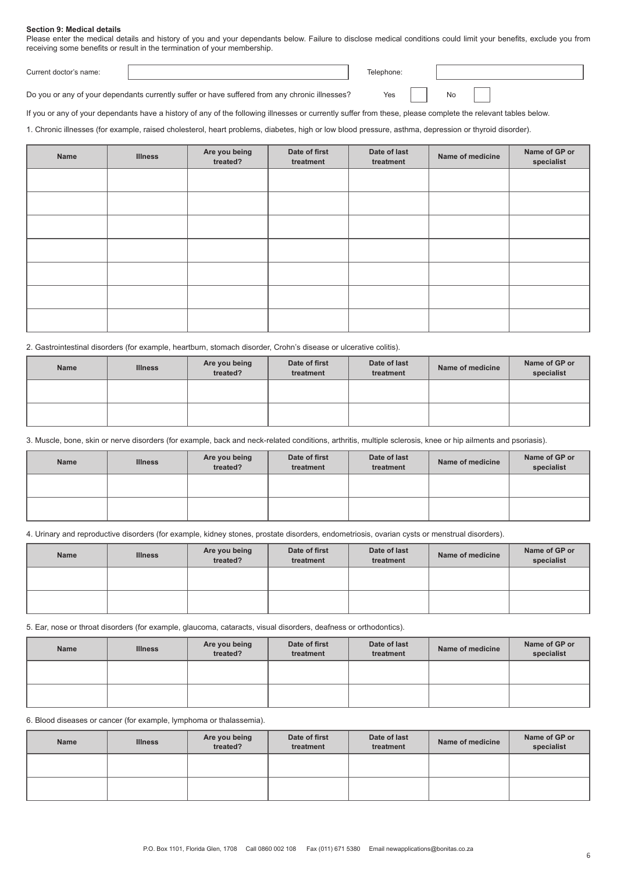#### **Section 9: Medical details**

Please enter the medical details and history of you and your dependants below. Failure to disclose medical conditions could limit your benefits, exclude you from receiving some benefits or result in the termination of your membership.

Current doctor's name: Telephone:

Yes No

Do you or any of your dependants currently suffer or have suffered from any chronic illnesses?

If you or any of your dependants have a history of any of the following illnesses or currently suffer from these, please complete the relevant tables below.

1. Chronic illnesses (for example, raised cholesterol, heart problems, diabetes, high or low blood pressure, asthma, depression or thyroid disorder).

| Name | <b>Illness</b> | Are you being<br>treated? | Date of first<br>treatment | Date of last<br>treatment | Name of medicine | Name of GP or<br>specialist |
|------|----------------|---------------------------|----------------------------|---------------------------|------------------|-----------------------------|
|      |                |                           |                            |                           |                  |                             |
|      |                |                           |                            |                           |                  |                             |
|      |                |                           |                            |                           |                  |                             |
|      |                |                           |                            |                           |                  |                             |
|      |                |                           |                            |                           |                  |                             |
|      |                |                           |                            |                           |                  |                             |
|      |                |                           |                            |                           |                  |                             |

2. Gastrointestinal disorders (for example, heartburn, stomach disorder, Crohn's disease or ulcerative colitis).

| <b>Name</b> | <b>Illness</b> | Are you being<br>treated? | Date of first<br>treatment | Date of last<br>treatment | Name of medicine | Name of GP or<br>specialist |
|-------------|----------------|---------------------------|----------------------------|---------------------------|------------------|-----------------------------|
|             |                |                           |                            |                           |                  |                             |
|             |                |                           |                            |                           |                  |                             |

3. Muscle, bone, skin or nerve disorders (for example, back and neck-related conditions, arthritis, multiple sclerosis, knee or hip ailments and psoriasis).

| <b>Name</b> | <b>Illness</b> | Are you being<br>treated? | Date of first<br>treatment | Date of last<br>treatment | Name of medicine | Name of GP or<br>specialist |
|-------------|----------------|---------------------------|----------------------------|---------------------------|------------------|-----------------------------|
|             |                |                           |                            |                           |                  |                             |
|             |                |                           |                            |                           |                  |                             |

4. Urinary and reproductive disorders (for example, kidney stones, prostate disorders, endometriosis, ovarian cysts or menstrual disorders).

| <b>Name</b> | <b>Illness</b> | Are you being<br>treated? | Date of first<br>treatment | Date of last<br>treatment | Name of medicine | Name of GP or<br>specialist |
|-------------|----------------|---------------------------|----------------------------|---------------------------|------------------|-----------------------------|
|             |                |                           |                            |                           |                  |                             |
|             |                |                           |                            |                           |                  |                             |

5. Ear, nose or throat disorders (for example, glaucoma, cataracts, visual disorders, deafness or orthodontics).

| <b>Name</b> | <b>Illness</b> | Are you being<br>treated? | Date of first<br>treatment | Date of last<br>treatment | Name of medicine | Name of GP or<br>specialist |
|-------------|----------------|---------------------------|----------------------------|---------------------------|------------------|-----------------------------|
|             |                |                           |                            |                           |                  |                             |
|             |                |                           |                            |                           |                  |                             |

6. Blood diseases or cancer (for example, lymphoma or thalassemia).

| <b>Name</b> | <b>Illness</b> | Are you being<br>treated? | Date of first<br>treatment | Date of last<br>treatment | Name of medicine | Name of GP or<br>specialist |
|-------------|----------------|---------------------------|----------------------------|---------------------------|------------------|-----------------------------|
|             |                |                           |                            |                           |                  |                             |
|             |                |                           |                            |                           |                  |                             |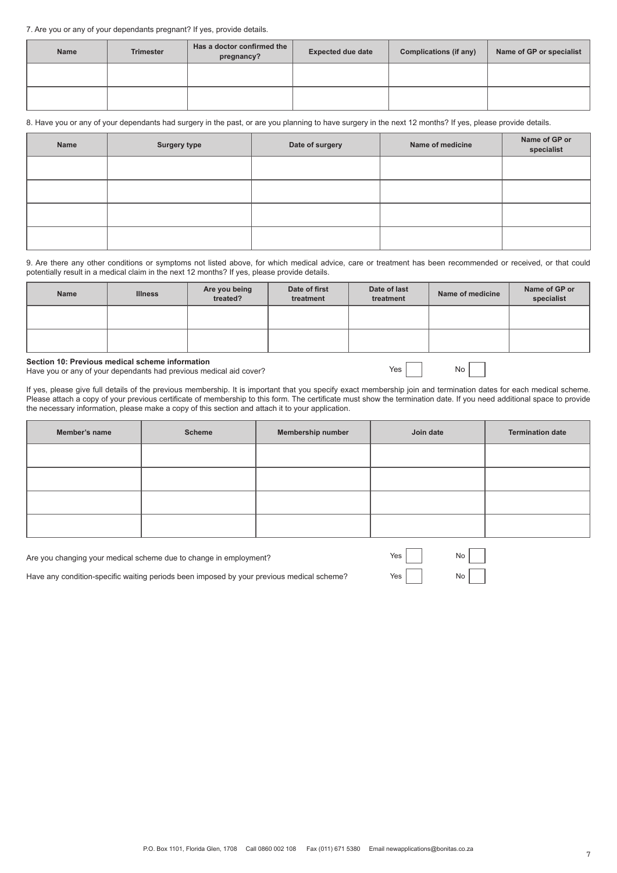#### 7. Are you or any of your dependants pregnant? If yes, provide details.

| <b>Name</b> | <b>Trimester</b> | Has a doctor confirmed the<br>pregnancy? | <b>Expected due date</b> | Complications (if any) | Name of GP or specialist |
|-------------|------------------|------------------------------------------|--------------------------|------------------------|--------------------------|
|             |                  |                                          |                          |                        |                          |
|             |                  |                                          |                          |                        |                          |

8. Have you or any of your dependants had surgery in the past, or are you planning to have surgery in the next 12 months? If yes, please provide details.

| Name | <b>Surgery type</b> | Date of surgery | Name of medicine | Name of GP or<br>specialist |
|------|---------------------|-----------------|------------------|-----------------------------|
|      |                     |                 |                  |                             |
|      |                     |                 |                  |                             |
|      |                     |                 |                  |                             |
|      |                     |                 |                  |                             |

9. Are there any other conditions or symptoms not listed above, for which medical advice, care or treatment has been recommended or received, or that could potentially result in a medical claim in the next 12 months? If yes, please provide details.

| <b>Name</b> | <b>Illness</b> | Are you being<br>treated? | Date of first<br>treatment | Date of last<br>treatment | Name of medicine | Name of GP or<br>specialist |
|-------------|----------------|---------------------------|----------------------------|---------------------------|------------------|-----------------------------|
|             |                |                           |                            |                           |                  |                             |
|             |                |                           |                            |                           |                  |                             |

**Section 10: Previous medical scheme information**

Have you or any of your dependants had previous medical aid cover?

If yes, please give full details of the previous membership. It is important that you specify exact membership join and termination dates for each medical scheme. Please attach a copy of your previous certificate of membership to this form. The certificate must show the termination date. If you need additional space to provide the necessary information, please make a copy of this section and attach it to your application.

Yes No

| Member's name | <b>Scheme</b> | Membership number | Join date | <b>Termination date</b> |
|---------------|---------------|-------------------|-----------|-------------------------|
|               |               |                   |           |                         |
|               |               |                   |           |                         |
|               |               |                   |           |                         |
|               |               |                   |           |                         |

| Are you changing your medical scheme due to change in employment?                         | Yes         | $\mathsf{No}$ |  |
|-------------------------------------------------------------------------------------------|-------------|---------------|--|
| Have any condition-specific waiting periods been imposed by your previous medical scheme? | Yes $\vert$ | No            |  |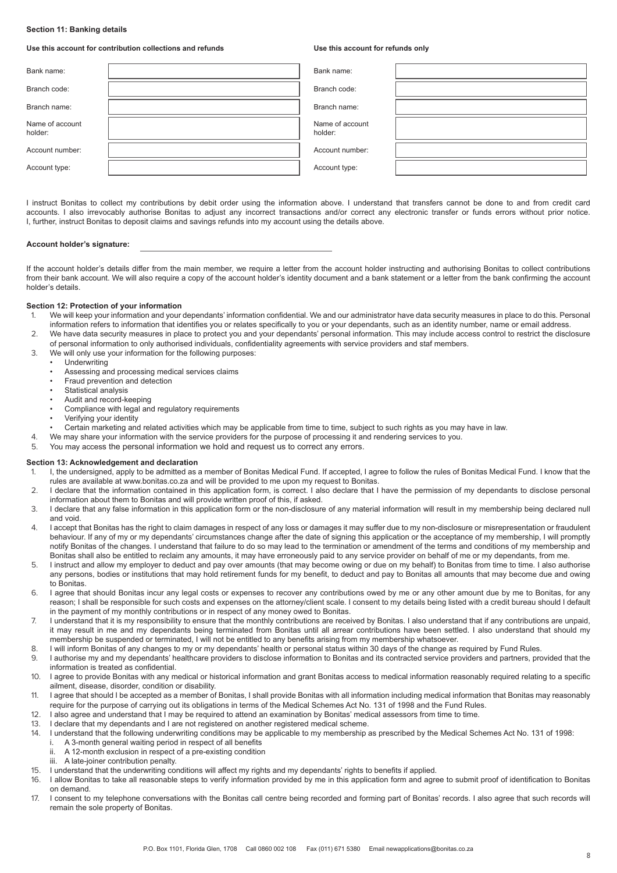#### **Section 11: Banking details**

#### **Use this account for contribution collections and refunds**

**Use this account for refunds only**

| Bank name:                 | Bank name:                 |  |
|----------------------------|----------------------------|--|
| Branch code:               | Branch code:               |  |
| Branch name:               | Branch name:               |  |
| Name of account<br>holder: | Name of account<br>holder: |  |
| Account number:            | Account number:            |  |
| Account type:              | Account type:              |  |

I instruct Bonitas to collect my contributions by debit order using the information above. I understand that transfers cannot be done to and from credit card accounts. I also irrevocably authorise Bonitas to adjust any incorrect transactions and/or correct any electronic transfer or funds errors without prior notice. I, further, instruct Bonitas to deposit claims and savings refunds into my account using the details above.

#### **Account holder's signature:**

If the account holder's details differ from the main member, we require a letter from the account holder instructing and authorising Bonitas to collect contributions from their bank account. We will also require a copy of the account holder's identity document and a bank statement or a letter from the bank confirming the account holder's details.

#### **Section 12: Protection of your information**

- 1. We will keep your information and your dependants' information confidential. We and our administrator have data security measures in place to do this. Personal information refers to information that identifies you or relates specifically to you or your dependants, such as an identity number, name or email address.
- 2. We have data security measures in place to protect you and your dependants' personal information. This may include access control to restrict the disclosure of personal information to only authorised individuals, confidentiality agreements with service providers and staf members.
- 3. We will only use your information for the following purposes:
	- **Underwriting**
	- Assessing and processing medical services claims
	- Fraud prevention and detection
	- Statistical analysis
	- Audit and record-keeping
	- Compliance with legal and regulatory requirements
	- Verifying your identity
	- Certain marketing and related activities which may be applicable from time to time, subject to such rights as you may have in law.
- 4. We may share your information with the service providers for the purpose of processing it and rendering services to you.
- 5. You may access the personal information we hold and request us to correct any errors.

### **Section 13: Acknowledgement and declaration**<br>1 | I the undersigned apply to be admitted as

- 1. I, the undersigned, apply to be admitted as a member of Bonitas Medical Fund. If accepted, I agree to follow the rules of Bonitas Medical Fund. I know that the rules are available at www.bonitas.co.za and will be provided to me upon my request to Bonitas.
- 2. I declare that the information contained in this application form, is correct. I also declare that I have the permission of my dependants to disclose personal information about them to Bonitas and will provide written proof of this, if asked.
- 3. I declare that any false information in this application form or the non-disclosure of any material information will result in my membership being declared null and void.
- 4. I accept that Bonitas has the right to claim damages in respect of any loss or damages it may suffer due to my non-disclosure or misrepresentation or fraudulent behaviour. If any of my or my dependants' circumstances change after the date of signing this application or the acceptance of my membership, I will promptly notify Bonitas of the changes. I understand that failure to do so may lead to the termination or amendment of the terms and conditions of my membership and Bonitas shall also be entitled to reclaim any amounts, it may have erroneously paid to any service provider on behalf of me or my dependants, from me.
- I instruct and allow my employer to deduct and pay over amounts (that may become owing or due on my behalf) to Bonitas from time to time. I also authorise any persons, bodies or institutions that may hold retirement funds for my benefit, to deduct and pay to Bonitas all amounts that may become due and owing to Bonitas.
- 6. I agree that should Bonitas incur any legal costs or expenses to recover any contributions owed by me or any other amount due by me to Bonitas, for any reason; I shall be responsible for such costs and expenses on the attorney/client scale. I consent to my details being listed with a credit bureau should I default in the payment of my monthly contributions or in respect of any money owed to Bonitas.
- 7. I understand that it is my responsibility to ensure that the monthly contributions are received by Bonitas. I also understand that if any contributions are unpaid, it may result in me and my dependants being terminated from Bonitas until all arrear contributions have been settled. I also understand that should my membership be suspended or terminated, I will not be entitled to any benefits arising from my membership whatsoever.
- 8. I will inform Bonitas of any changes to my or my dependants' health or personal status within 30 days of the change as required by Fund Rules.
- 9. I authorise my and my dependants' healthcare providers to disclose information to Bonitas and its contracted service providers and partners, provided that the information is treated as confidential.
- 10. I agree to provide Bonitas with any medical or historical information and grant Bonitas access to medical information reasonably required relating to a specific ailment, disease, disorder, condition or disability.
- 11. I agree that should I be accepted as a member of Bonitas, I shall provide Bonitas with all information including medical information that Bonitas may reasonably require for the purpose of carrying out its obligations in terms of the Medical Schemes Act No. 131 of 1998 and the Fund Rules.
- 12. I also agree and understand that I may be required to attend an examination by Bonitas' medical assessors from time to time.
- 13. I declare that my dependants and I are not registered on another registered medical scheme.
- 14. I understand that the following underwriting conditions may be applicable to my membership as prescribed by the Medical Schemes Act No. 131 of 1998:
	- i. A 3-month general waiting period in respect of all benefits
	- ii. A 12-month exclusion in respect of a pre-existing condition iii. A late-joiner contribution penalty.
- 15. I understand that the underwriting conditions will affect my rights and my dependants' rights to benefits if applied.
- 16. I allow Bonitas to take all reasonable steps to verify information provided by me in this application form and agree to submit proof of identification to Bonitas on demand.
- 17. I consent to my telephone conversations with the Bonitas call centre being recorded and forming part of Bonitas' records. I also agree that such records will remain the sole property of Bonitas.